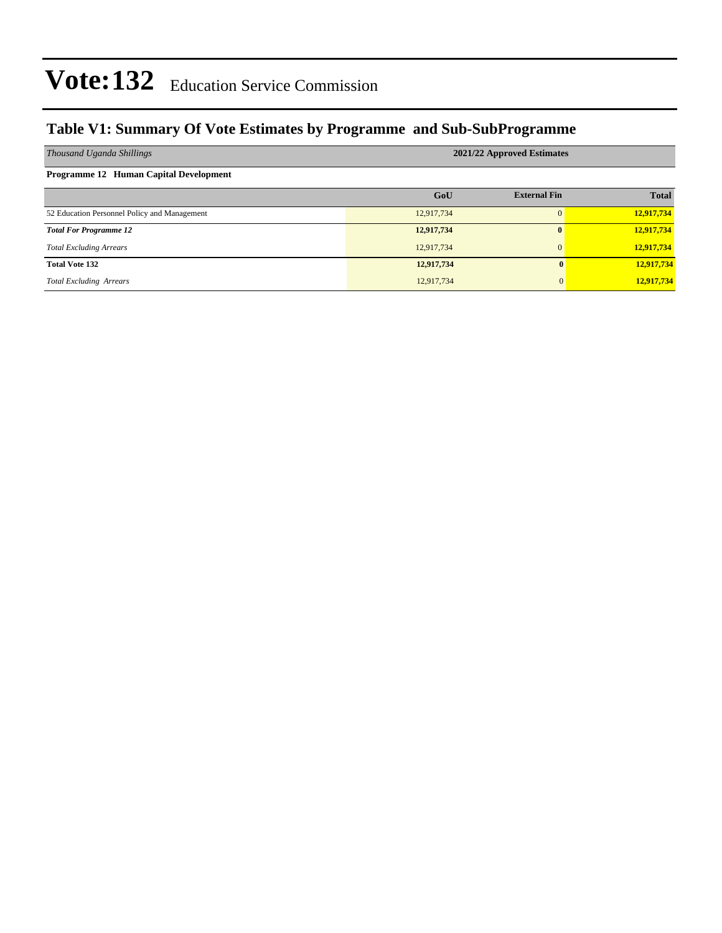### **Table V1: Summary Of Vote Estimates by Programme and Sub-SubProgramme**

| Thousand Uganda Shillings                    | 2021/22 Approved Estimates |                     |              |  |  |  |  |  |
|----------------------------------------------|----------------------------|---------------------|--------------|--|--|--|--|--|
| Programme 12 Human Capital Development       |                            |                     |              |  |  |  |  |  |
|                                              | GoU                        | <b>External Fin</b> | <b>Total</b> |  |  |  |  |  |
| 52 Education Personnel Policy and Management | 12,917,734                 |                     | 12,917,734   |  |  |  |  |  |
| <b>Total For Programme 12</b>                | 12,917,734                 | $\mathbf{0}$        | 12,917,734   |  |  |  |  |  |
| <b>Total Excluding Arrears</b>               | 12,917,734                 | $\mathbf{0}$        | 12,917,734   |  |  |  |  |  |
| <b>Total Vote 132</b>                        | 12,917,734                 | $\mathbf{0}$        | 12,917,734   |  |  |  |  |  |
| <b>Total Excluding Arrears</b>               | 12,917,734                 | $\Omega$            | 12,917,734   |  |  |  |  |  |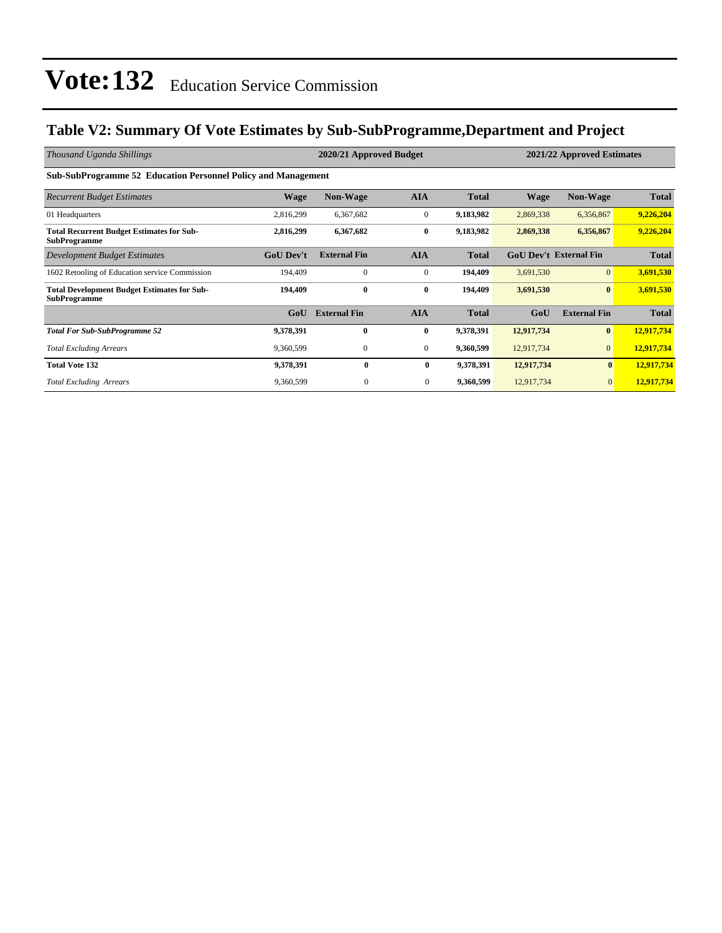### **Table V2: Summary Of Vote Estimates by Sub-SubProgramme,Department and Project**

| Thousand Uganda Shillings                                                 | 2020/21 Approved Budget<br>2021/22 Approved Estimates |                     |                |              |             |                               |              |  |  |  |
|---------------------------------------------------------------------------|-------------------------------------------------------|---------------------|----------------|--------------|-------------|-------------------------------|--------------|--|--|--|
| Sub-SubProgramme 52 Education Personnel Policy and Management             |                                                       |                     |                |              |             |                               |              |  |  |  |
| <b>Recurrent Budget Estimates</b>                                         | <b>Wage</b>                                           | <b>Non-Wage</b>     | <b>AIA</b>     | <b>Total</b> | <b>Wage</b> | <b>Non-Wage</b>               | <b>Total</b> |  |  |  |
| 01 Headquarters                                                           | 2,816,299                                             | 6,367,682           | $\mathbf{0}$   | 9,183,982    | 2,869,338   | 6,356,867                     | 9,226,204    |  |  |  |
| <b>Total Recurrent Budget Estimates for Sub-</b><br><b>SubProgramme</b>   | 2,816,299                                             | 6,367,682           | $\bf{0}$       | 9,183,982    | 2,869,338   | 6,356,867                     | 9,226,204    |  |  |  |
| Development Budget Estimates                                              | <b>GoU</b> Dev't                                      | <b>External Fin</b> | <b>AIA</b>     | <b>Total</b> |             | <b>GoU Dev't External Fin</b> | <b>Total</b> |  |  |  |
| 1602 Retooling of Education service Commission                            | 194,409                                               | $\mathbf{0}$        | $\mathbf{0}$   | 194,409      | 3,691,530   | $\overline{0}$                | 3,691,530    |  |  |  |
| <b>Total Development Budget Estimates for Sub-</b><br><b>SubProgramme</b> | 194,409                                               | $\bf{0}$            | $\bf{0}$       | 194,409      | 3,691,530   | $\bf{0}$                      | 3,691,530    |  |  |  |
|                                                                           | GoU                                                   | <b>External Fin</b> | <b>AIA</b>     | <b>Total</b> | GoU         | <b>External Fin</b>           | <b>Total</b> |  |  |  |
| <b>Total For Sub-SubProgramme 52</b>                                      | 9,378,391                                             | $\mathbf{0}$        | $\bf{0}$       | 9,378,391    | 12,917,734  | $\bf{0}$                      | 12,917,734   |  |  |  |
| <b>Total Excluding Arrears</b>                                            | 9,360,599                                             | $\mathbf{0}$        | $\mathbf{0}$   | 9,360,599    | 12,917,734  | $\overline{0}$                | 12,917,734   |  |  |  |
| <b>Total Vote 132</b>                                                     | 9,378,391                                             | $\bf{0}$            | $\bf{0}$       | 9,378,391    | 12,917,734  | $\bf{0}$                      | 12,917,734   |  |  |  |
| <b>Total Excluding Arrears</b>                                            | 9,360,599                                             | $\boldsymbol{0}$    | $\overline{0}$ | 9,360,599    | 12,917,734  | $\mathbf{0}$                  | 12,917,734   |  |  |  |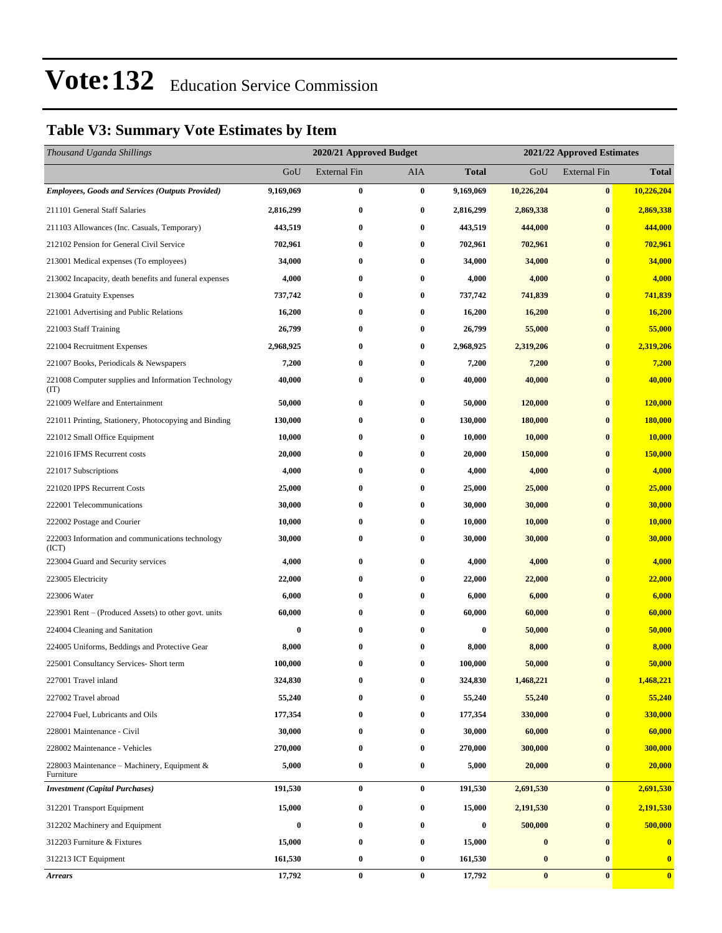### **Table V3: Summary Vote Estimates by Item**

| Thousand Uganda Shillings                                   |           | 2020/21 Approved Budget |            |              |                  | 2021/22 Approved Estimates |                |  |  |
|-------------------------------------------------------------|-----------|-------------------------|------------|--------------|------------------|----------------------------|----------------|--|--|
|                                                             | GoU       | <b>External Fin</b>     | <b>AIA</b> | <b>Total</b> | GoU              | <b>External Fin</b>        | <b>Total</b>   |  |  |
| <b>Employees, Goods and Services (Outputs Provided)</b>     | 9,169,069 | $\bf{0}$                | $\bf{0}$   | 9,169,069    | 10,226,204       | $\bf{0}$                   | 10,226,204     |  |  |
| 211101 General Staff Salaries                               | 2,816,299 | $\bf{0}$                | $\bf{0}$   | 2,816,299    | 2,869,338        | $\bf{0}$                   | 2,869,338      |  |  |
| 211103 Allowances (Inc. Casuals, Temporary)                 | 443,519   | $\bf{0}$                | $\bf{0}$   | 443,519      | 444,000          | $\bf{0}$                   | 444,000        |  |  |
| 212102 Pension for General Civil Service                    | 702,961   | $\bf{0}$                | $\bf{0}$   | 702,961      | 702,961          | $\bf{0}$                   | 702,961        |  |  |
| 213001 Medical expenses (To employees)                      | 34,000    | $\bf{0}$                | $\bf{0}$   | 34,000       | 34,000           | $\bf{0}$                   | 34,000         |  |  |
| 213002 Incapacity, death benefits and funeral expenses      | 4,000     | $\bf{0}$                | $\bf{0}$   | 4,000        | 4,000            | $\bf{0}$                   | 4,000          |  |  |
| 213004 Gratuity Expenses                                    | 737,742   | $\bf{0}$                | $\bf{0}$   | 737,742      | 741,839          | $\bf{0}$                   | 741,839        |  |  |
| 221001 Advertising and Public Relations                     | 16,200    | $\bf{0}$                | $\bf{0}$   | 16,200       | 16,200           | $\bf{0}$                   | 16,200         |  |  |
| 221003 Staff Training                                       | 26,799    | $\bf{0}$                | $\bf{0}$   | 26,799       | 55,000           | $\bf{0}$                   | 55,000         |  |  |
| 221004 Recruitment Expenses                                 | 2,968,925 | $\bf{0}$                | $\bf{0}$   | 2,968,925    | 2,319,206        | $\bf{0}$                   | 2,319,206      |  |  |
| 221007 Books, Periodicals & Newspapers                      | 7,200     | $\bf{0}$                | $\bf{0}$   | 7,200        | 7,200            | $\bf{0}$                   | 7,200          |  |  |
| 221008 Computer supplies and Information Technology<br>(TT) | 40,000    | $\bf{0}$                | $\bf{0}$   | 40,000       | 40,000           | $\bf{0}$                   | 40,000         |  |  |
| 221009 Welfare and Entertainment                            | 50,000    | $\bf{0}$                | $\bf{0}$   | 50,000       | 120,000          | $\bf{0}$                   | 120,000        |  |  |
| 221011 Printing, Stationery, Photocopying and Binding       | 130,000   | $\bf{0}$                | $\bf{0}$   | 130,000      | 180,000          | $\bf{0}$                   | 180,000        |  |  |
| 221012 Small Office Equipment                               | 10,000    | $\bf{0}$                | $\bf{0}$   | 10,000       | 10,000           | $\bf{0}$                   | 10,000         |  |  |
| 221016 IFMS Recurrent costs                                 | 20,000    | 0                       | $\bf{0}$   | 20,000       | 150,000          | $\bf{0}$                   | <b>150,000</b> |  |  |
| 221017 Subscriptions                                        | 4,000     | $\bf{0}$                | $\bf{0}$   | 4,000        | 4,000            | $\bf{0}$                   | 4,000          |  |  |
| 221020 IPPS Recurrent Costs                                 | 25,000    | $\bf{0}$                | $\bf{0}$   | 25,000       | 25,000           | $\bf{0}$                   | 25,000         |  |  |
| 222001 Telecommunications                                   | 30,000    | 0                       | $\bf{0}$   | 30,000       | 30,000           | $\bf{0}$                   | 30,000         |  |  |
| 222002 Postage and Courier                                  | 10,000    | $\bf{0}$                | $\bf{0}$   | 10,000       | 10,000           | $\bf{0}$                   | 10,000         |  |  |
| 222003 Information and communications technology<br>(ICT)   | 30,000    | 0                       | $\bf{0}$   | 30,000       | 30,000           | $\bf{0}$                   | 30,000         |  |  |
| 223004 Guard and Security services                          | 4,000     | $\bf{0}$                | $\bf{0}$   | 4,000        | 4,000            | $\bf{0}$                   | 4,000          |  |  |
| 223005 Electricity                                          | 22,000    | $\bf{0}$                | $\bf{0}$   | 22,000       | 22,000           | $\bf{0}$                   | 22,000         |  |  |
| 223006 Water                                                | 6,000     | 0                       | $\bf{0}$   | 6,000        | 6,000            | $\bf{0}$                   | 6,000          |  |  |
| 223901 Rent – (Produced Assets) to other govt. units        | 60,000    | 0                       | $\bf{0}$   | 60,000       | 60,000           | $\bf{0}$                   | 60,000         |  |  |
| 224004 Cleaning and Sanitation                              | 0         | $\bf{0}$                | $\bf{0}$   | 0            | 50,000           | $\bf{0}$                   | 50,000         |  |  |
| 224005 Uniforms, Beddings and Protective Gear               | 8,000     | 0                       | $\bf{0}$   | 8,000        | 8,000            | $\bf{0}$                   | 8,000          |  |  |
| 225001 Consultancy Services- Short term                     | 100,000   | $\bf{0}$                | $\bf{0}$   | 100,000      | 50,000           | $\bf{0}$                   | 50,000         |  |  |
| 227001 Travel inland                                        | 324,830   | 0                       | $\bf{0}$   | 324,830      | 1,468,221        | $\bf{0}$                   | 1,468,221      |  |  |
| 227002 Travel abroad                                        | 55,240    | 0                       | $\bf{0}$   | 55,240       | 55,240           | $\bf{0}$                   | 55,240         |  |  |
| 227004 Fuel, Lubricants and Oils                            | 177,354   | $\bf{0}$                | $\bf{0}$   | 177,354      | 330,000          | $\bf{0}$                   | 330,000        |  |  |
| 228001 Maintenance - Civil                                  | 30,000    | $\bf{0}$                | $\bf{0}$   | 30,000       | 60,000           | $\bf{0}$                   | 60,000         |  |  |
| 228002 Maintenance - Vehicles                               | 270,000   | $\bf{0}$                | $\bf{0}$   | 270,000      | 300,000          | $\bf{0}$                   | 300,000        |  |  |
| 228003 Maintenance - Machinery, Equipment &<br>Furniture    | 5,000     | $\bf{0}$                | $\bf{0}$   | 5,000        | 20,000           | $\bf{0}$                   | 20,000         |  |  |
| <b>Investment</b> (Capital Purchases)                       | 191,530   | $\bf{0}$                | $\bf{0}$   | 191,530      | 2,691,530        | $\bf{0}$                   | 2,691,530      |  |  |
| 312201 Transport Equipment                                  | 15,000    | $\bf{0}$                | $\bf{0}$   | 15,000       | 2,191,530        | $\bf{0}$                   | 2,191,530      |  |  |
| 312202 Machinery and Equipment                              | 0         | 0                       | $\bf{0}$   | 0            | 500,000          | $\bf{0}$                   | 500,000        |  |  |
| 312203 Furniture & Fixtures                                 | 15,000    | $\bf{0}$                | $\bf{0}$   | 15,000       | $\bf{0}$         | $\bf{0}$                   | $\bf{0}$       |  |  |
| 312213 ICT Equipment                                        | 161,530   | $\bf{0}$                | $\bf{0}$   | 161,530      | $\bf{0}$         | $\bf{0}$                   | $\bf{0}$       |  |  |
| <b>Arrears</b>                                              | 17,792    | $\pmb{0}$               | $\bf{0}$   | 17,792       | $\boldsymbol{0}$ | $\bf{0}$                   | $\bf{0}$       |  |  |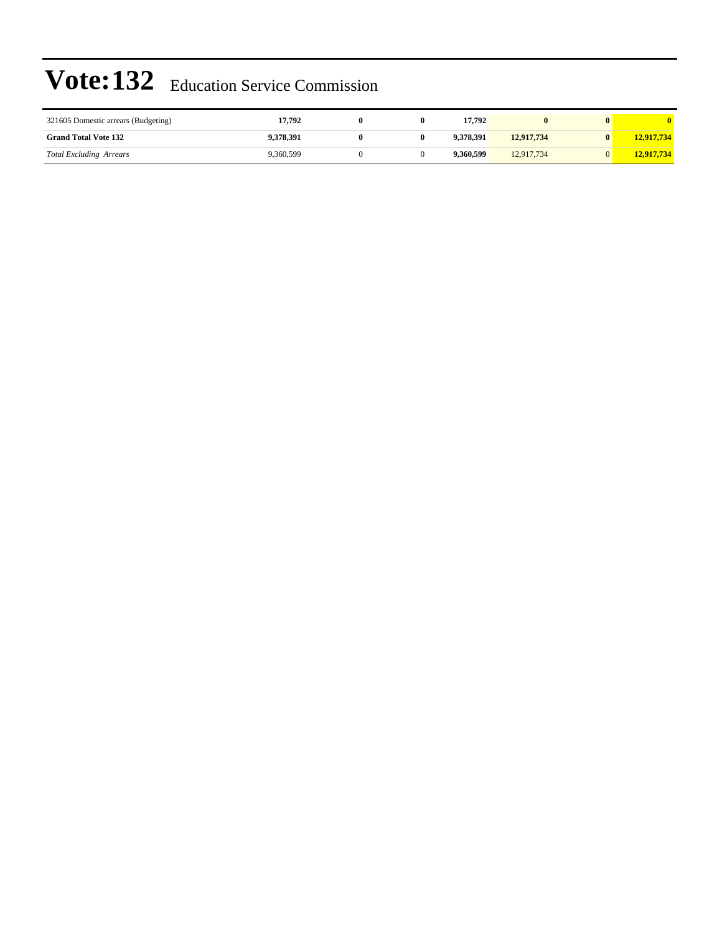| 321605 Domestic arrears (Budgeting) | 17,792    |  | 17.792    |            | 0 |            |
|-------------------------------------|-----------|--|-----------|------------|---|------------|
| <b>Grand Total Vote 132</b>         | 9,378,391 |  | 9.378.391 | 12,917,734 |   | 12,917,734 |
| <b>Total Excluding Arrears</b>      | 9,360,599 |  | 9.360.599 | 12.917.734 |   | 12,917,734 |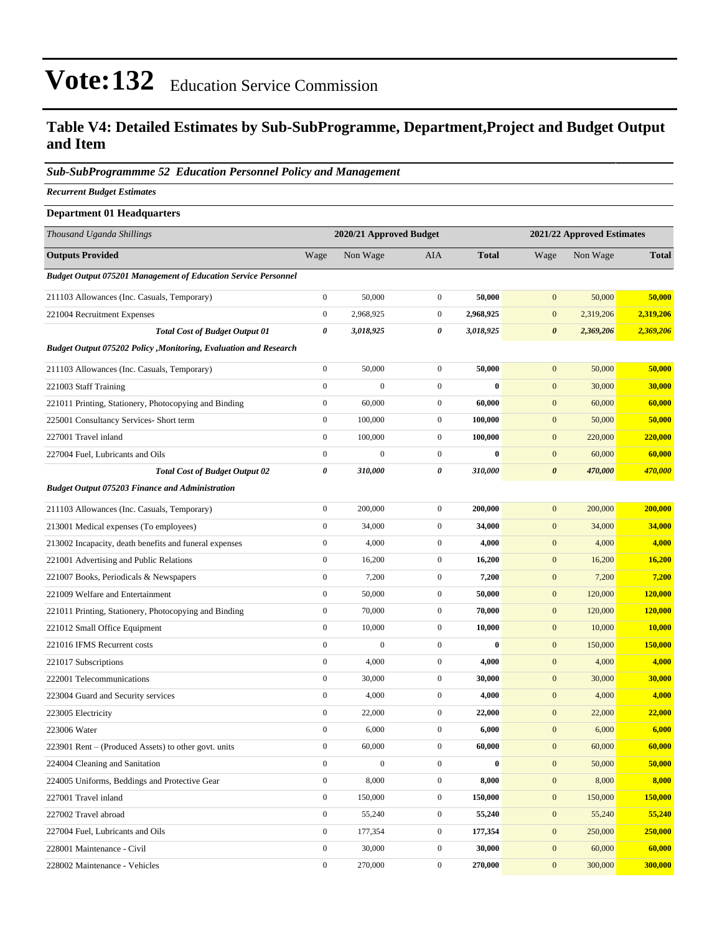#### **Table V4: Detailed Estimates by Sub-SubProgramme, Department,Project and Budget Output and Item**

#### *Sub-SubProgrammme 52 Education Personnel Policy and Management*

*Recurrent Budget Estimates*

| <b>Department 01 Headquarters</b>                                        |                  |                         |                  |              |                       |                            |               |  |
|--------------------------------------------------------------------------|------------------|-------------------------|------------------|--------------|-----------------------|----------------------------|---------------|--|
| Thousand Uganda Shillings                                                |                  | 2020/21 Approved Budget |                  |              |                       | 2021/22 Approved Estimates |               |  |
| <b>Outputs Provided</b>                                                  | Wage             | Non Wage                | AIA              | <b>Total</b> | Wage                  | Non Wage                   | <b>Total</b>  |  |
| <b>Budget Output 075201 Management of Education Service Personnel</b>    |                  |                         |                  |              |                       |                            |               |  |
| 211103 Allowances (Inc. Casuals, Temporary)                              | $\boldsymbol{0}$ | 50,000                  | $\boldsymbol{0}$ | 50,000       | $\boldsymbol{0}$      | 50,000                     | 50,000        |  |
| 221004 Recruitment Expenses                                              | $\boldsymbol{0}$ | 2,968,925               | $\boldsymbol{0}$ | 2,968,925    | $\boldsymbol{0}$      | 2,319,206                  | 2,319,206     |  |
| <b>Total Cost of Budget Output 01</b>                                    | 0                | 3,018,925               | 0                | 3,018,925    | $\boldsymbol{\theta}$ | 2,369,206                  | 2,369,206     |  |
| <b>Budget Output 075202 Policy , Monitoring, Evaluation and Research</b> |                  |                         |                  |              |                       |                            |               |  |
| 211103 Allowances (Inc. Casuals, Temporary)                              | $\boldsymbol{0}$ | 50,000                  | $\boldsymbol{0}$ | 50,000       | $\mathbf{0}$          | 50,000                     | 50,000        |  |
| 221003 Staff Training                                                    | $\boldsymbol{0}$ | $\overline{0}$          | $\boldsymbol{0}$ | $\mathbf{0}$ | $\mathbf{0}$          | 30,000                     | 30,000        |  |
| 221011 Printing, Stationery, Photocopying and Binding                    | $\boldsymbol{0}$ | 60,000                  | $\mathbf{0}$     | 60,000       | $\boldsymbol{0}$      | 60,000                     | 60,000        |  |
| 225001 Consultancy Services- Short term                                  | $\boldsymbol{0}$ | 100,000                 | $\boldsymbol{0}$ | 100,000      | $\mathbf{0}$          | 50,000                     | 50,000        |  |
| 227001 Travel inland                                                     | $\boldsymbol{0}$ | 100,000                 | $\mathbf{0}$     | 100,000      | $\mathbf{0}$          | 220,000                    | 220,000       |  |
| 227004 Fuel, Lubricants and Oils                                         | $\boldsymbol{0}$ | $\boldsymbol{0}$        | $\boldsymbol{0}$ | $\bf{0}$     | $\mathbf{0}$          | 60,000                     | 60,000        |  |
| <b>Total Cost of Budget Output 02</b>                                    | 0                | 310,000                 | 0                | 310,000      | $\boldsymbol{\theta}$ | 470,000                    | 470,000       |  |
| <b>Budget Output 075203 Finance and Administration</b>                   |                  |                         |                  |              |                       |                            |               |  |
| 211103 Allowances (Inc. Casuals, Temporary)                              | $\boldsymbol{0}$ | 200,000                 | $\mathbf{0}$     | 200,000      | $\boldsymbol{0}$      | 200,000                    | 200,000       |  |
| 213001 Medical expenses (To employees)                                   | $\boldsymbol{0}$ | 34,000                  | $\boldsymbol{0}$ | 34,000       | $\mathbf{0}$          | 34,000                     | 34,000        |  |
| 213002 Incapacity, death benefits and funeral expenses                   | $\boldsymbol{0}$ | 4,000                   | $\mathbf{0}$     | 4,000        | $\mathbf{0}$          | 4,000                      | 4,000         |  |
| 221001 Advertising and Public Relations                                  | $\boldsymbol{0}$ | 16,200                  | $\mathbf{0}$     | 16,200       | $\mathbf{0}$          | 16,200                     | 16,200        |  |
| 221007 Books, Periodicals & Newspapers                                   | $\boldsymbol{0}$ | 7,200                   | $\boldsymbol{0}$ | 7,200        | $\boldsymbol{0}$      | 7,200                      | 7,200         |  |
| 221009 Welfare and Entertainment                                         | $\boldsymbol{0}$ | 50,000                  | $\boldsymbol{0}$ | 50,000       | $\boldsymbol{0}$      | 120,000                    | 120,000       |  |
| 221011 Printing, Stationery, Photocopying and Binding                    | $\boldsymbol{0}$ | 70,000                  | $\boldsymbol{0}$ | 70,000       | $\mathbf{0}$          | 120,000                    | 120,000       |  |
| 221012 Small Office Equipment                                            | $\boldsymbol{0}$ | 10,000                  | $\mathbf{0}$     | 10,000       | $\mathbf{0}$          | 10,000                     | <b>10,000</b> |  |
| 221016 IFMS Recurrent costs                                              | $\boldsymbol{0}$ | $\mathbf{0}$            | $\boldsymbol{0}$ | $\bf{0}$     | $\mathbf{0}$          | 150,000                    | 150,000       |  |
| 221017 Subscriptions                                                     | $\boldsymbol{0}$ | 4,000                   | $\mathbf{0}$     | 4,000        | $\mathbf{0}$          | 4,000                      | 4,000         |  |
| 222001 Telecommunications                                                | $\boldsymbol{0}$ | 30,000                  | $\boldsymbol{0}$ | 30,000       | $\mathbf{0}$          | 30,000                     | 30,000        |  |
| 223004 Guard and Security services                                       | $\boldsymbol{0}$ | 4,000                   | $\mathbf{0}$     | 4,000        | $\mathbf{0}$          | 4,000                      | 4,000         |  |
| 223005 Electricity                                                       | $\boldsymbol{0}$ | 22,000                  | $\mathbf{0}$     | 22,000       | $\mathbf{0}$          | 22,000                     | 22,000        |  |
| 223006 Water                                                             | $\boldsymbol{0}$ | 6,000                   | $\mathbf{0}$     | 6,000        | $\boldsymbol{0}$      | 6,000                      | 6,000         |  |
| 223901 Rent – (Produced Assets) to other govt. units                     | $\boldsymbol{0}$ | 60,000                  | $\boldsymbol{0}$ | 60,000       | $\boldsymbol{0}$      | 60,000                     | 60,000        |  |
| 224004 Cleaning and Sanitation                                           | $\boldsymbol{0}$ | $\boldsymbol{0}$        | $\mathbf{0}$     | $\bf{0}$     | $\mathbf{0}$          | 50,000                     | 50,000        |  |
| 224005 Uniforms, Beddings and Protective Gear                            | $\boldsymbol{0}$ | 8,000                   | $\boldsymbol{0}$ | 8,000        | $\mathbf{0}$          | 8,000                      | 8,000         |  |
| 227001 Travel inland                                                     | $\boldsymbol{0}$ | 150,000                 | $\boldsymbol{0}$ | 150,000      | $\mathbf{0}$          | 150,000                    | 150,000       |  |
| 227002 Travel abroad                                                     | $\boldsymbol{0}$ | 55,240                  | $\boldsymbol{0}$ | 55,240       | $\mathbf{0}$          | 55,240                     | 55,240        |  |
| 227004 Fuel, Lubricants and Oils                                         | $\boldsymbol{0}$ | 177,354                 | $\boldsymbol{0}$ | 177,354      | $\boldsymbol{0}$      | 250,000                    | 250,000       |  |
| 228001 Maintenance - Civil                                               | $\boldsymbol{0}$ | 30,000                  | $\boldsymbol{0}$ | 30,000       | $\boldsymbol{0}$      | 60,000                     | 60,000        |  |
| 228002 Maintenance - Vehicles                                            | $\overline{0}$   | 270,000                 | $\mathbf{0}$     | 270,000      | $\mathbf{0}$          | 300,000                    | 300,000       |  |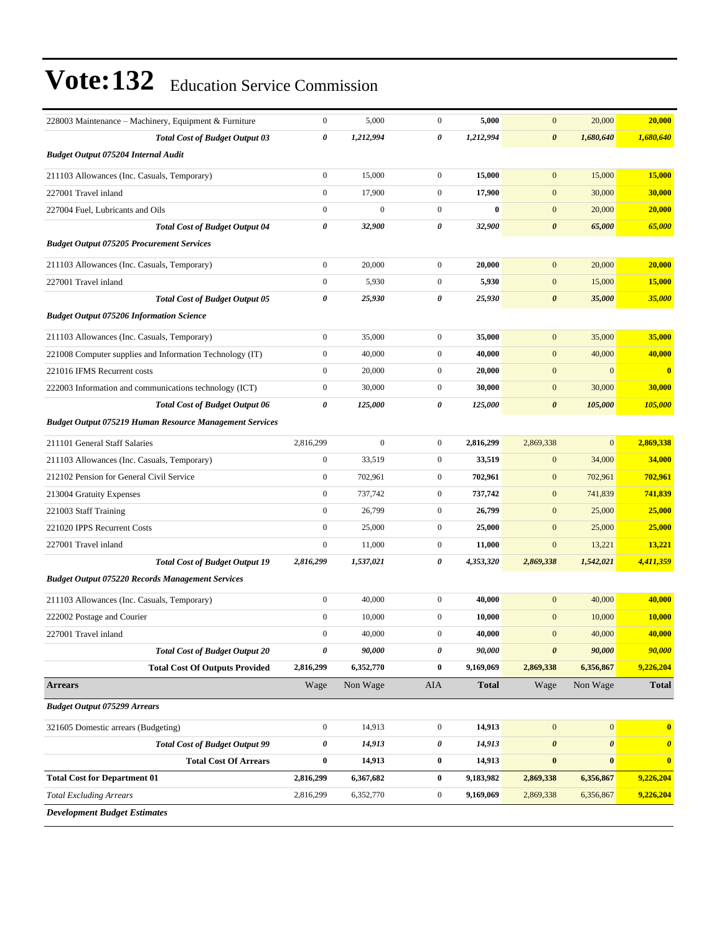| 228003 Maintenance - Machinery, Equipment & Furniture          | $\boldsymbol{0}$ | 5,000            | $\overline{0}$   | 5,000        | $\mathbf{0}$          | 20,000                | 20,000                |
|----------------------------------------------------------------|------------------|------------------|------------------|--------------|-----------------------|-----------------------|-----------------------|
| <b>Total Cost of Budget Output 03</b>                          | 0                | 1,212,994        | 0                | 1,212,994    | $\boldsymbol{\theta}$ | 1,680,640             | 1,680,640             |
| <b>Budget Output 075204 Internal Audit</b>                     |                  |                  |                  |              |                       |                       |                       |
| 211103 Allowances (Inc. Casuals, Temporary)                    | $\boldsymbol{0}$ | 15,000           | $\mathbf{0}$     | 15,000       | $\mathbf{0}$          | 15,000                | 15,000                |
| 227001 Travel inland                                           | $\boldsymbol{0}$ | 17,900           | $\overline{0}$   | 17,900       | $\mathbf{0}$          | 30,000                | 30,000                |
| 227004 Fuel, Lubricants and Oils                               | $\boldsymbol{0}$ | $\boldsymbol{0}$ | $\mathbf{0}$     | $\bf{0}$     | $\mathbf{0}$          | 20,000                | 20,000                |
| <b>Total Cost of Budget Output 04</b>                          | $\pmb{\theta}$   | 32,900           | 0                | 32,900       | $\boldsymbol{\theta}$ | 65,000                | 65,000                |
| <b>Budget Output 075205 Procurement Services</b>               |                  |                  |                  |              |                       |                       |                       |
| 211103 Allowances (Inc. Casuals, Temporary)                    | $\boldsymbol{0}$ | 20,000           | $\mathbf{0}$     | 20,000       | $\mathbf{0}$          | 20,000                | 20,000                |
| 227001 Travel inland                                           | $\boldsymbol{0}$ | 5,930            | $\mathbf{0}$     | 5,930        | $\mathbf{0}$          | 15,000                | 15,000                |
| <b>Total Cost of Budget Output 05</b>                          | 0                | 25,930           | 0                | 25,930       | $\boldsymbol{\theta}$ | 35,000                | 35,000                |
| <b>Budget Output 075206 Information Science</b>                |                  |                  |                  |              |                       |                       |                       |
| 211103 Allowances (Inc. Casuals, Temporary)                    | $\boldsymbol{0}$ | 35,000           | $\overline{0}$   | 35,000       | $\mathbf{0}$          | 35,000                | 35,000                |
| 221008 Computer supplies and Information Technology (IT)       | $\boldsymbol{0}$ | 40,000           | $\overline{0}$   | 40,000       | $\mathbf{0}$          | 40,000                | 40,000                |
| 221016 IFMS Recurrent costs                                    | $\boldsymbol{0}$ | 20,000           | $\mathbf{0}$     | 20,000       | $\mathbf{0}$          | $\mathbf{0}$          | $\bf{0}$              |
| 222003 Information and communications technology (ICT)         | $\boldsymbol{0}$ | 30,000           | $\mathbf{0}$     | 30,000       | $\mathbf{0}$          | 30,000                | 30,000                |
| <b>Total Cost of Budget Output 06</b>                          | 0                | 125,000          | 0                | 125,000      | $\boldsymbol{\theta}$ | 105,000               | 105,000               |
| <b>Budget Output 075219 Human Resource Management Services</b> |                  |                  |                  |              |                       |                       |                       |
| 211101 General Staff Salaries                                  | 2,816,299        | $\boldsymbol{0}$ | $\mathbf{0}$     | 2,816,299    | 2,869,338             | $\overline{0}$        | 2,869,338             |
| 211103 Allowances (Inc. Casuals, Temporary)                    | $\boldsymbol{0}$ | 33,519           | $\mathbf{0}$     | 33,519       | $\boldsymbol{0}$      | 34,000                | 34,000                |
| 212102 Pension for General Civil Service                       | $\boldsymbol{0}$ | 702,961          | $\mathbf{0}$     | 702,961      | $\mathbf{0}$          | 702,961               | 702,961               |
| 213004 Gratuity Expenses                                       | $\boldsymbol{0}$ | 737,742          | $\mathbf{0}$     | 737,742      | $\mathbf{0}$          | 741,839               | 741,839               |
| 221003 Staff Training                                          | $\boldsymbol{0}$ | 26,799           | $\overline{0}$   | 26,799       | $\mathbf{0}$          | 25,000                | 25,000                |
| 221020 IPPS Recurrent Costs                                    | $\boldsymbol{0}$ | 25,000           | $\mathbf{0}$     | 25,000       | $\mathbf{0}$          | 25,000                | 25,000                |
| 227001 Travel inland                                           | $\boldsymbol{0}$ | 11,000           | $\mathbf{0}$     | 11,000       | $\mathbf{0}$          | 13,221                | 13,221                |
| <b>Total Cost of Budget Output 19</b>                          | 2,816,299        | 1,537,021        | 0                | 4,353,320    | 2,869,338             | 1,542,021             | 4,411,359             |
| <b>Budget Output 075220 Records Management Services</b>        |                  |                  |                  |              |                       |                       |                       |
| 211103 Allowances (Inc. Casuals, Temporary)                    | $\boldsymbol{0}$ | 40,000           | $\mathbf{0}$     | 40,000       | $\mathbf{0}$          | 40,000                | 40,000                |
| 222002 Postage and Courier                                     | $\boldsymbol{0}$ | 10,000           | $\mathbf{0}$     | 10,000       | $\mathbf{0}$          | 10,000                | 10,000                |
| 227001 Travel inland                                           | $\mathbf{0}$     | 40,000           | $\overline{0}$   | 40,000       | $\mathbf{0}$          | 40,000                | 40,000                |
| <b>Total Cost of Budget Output 20</b>                          | $\pmb{\theta}$   | 90,000           | 0                | 90,000       | $\pmb{\theta}$        | 90,000                | 90,000                |
| <b>Total Cost Of Outputs Provided</b>                          | 2,816,299        | 6,352,770        | $\bf{0}$         | 9,169,069    | 2,869,338             | 6,356,867             | 9,226,204             |
| <b>Arrears</b>                                                 | Wage             | Non Wage         | AIA              | <b>Total</b> | Wage                  | Non Wage              | <b>Total</b>          |
| <b>Budget Output 075299 Arrears</b>                            |                  |                  |                  |              |                       |                       |                       |
| 321605 Domestic arrears (Budgeting)                            | $\boldsymbol{0}$ | 14,913           | $\boldsymbol{0}$ | 14,913       | $\boldsymbol{0}$      | $\vert 0 \vert$       | $\bf{0}$              |
| <b>Total Cost of Budget Output 99</b>                          | $\pmb{\theta}$   | 14,913           | 0                | 14,913       | $\boldsymbol{\theta}$ | $\boldsymbol{\theta}$ | $\boldsymbol{\theta}$ |
| <b>Total Cost Of Arrears</b>                                   | $\bf{0}$         | 14,913           | $\bf{0}$         | 14,913       | $\bf{0}$              | $\bf{0}$              | $\bf{0}$              |
| <b>Total Cost for Department 01</b>                            | 2,816,299        | 6,367,682        | $\bf{0}$         | 9,183,982    | 2,869,338             | 6,356,867             | 9,226,204             |
| <b>Total Excluding Arrears</b>                                 | 2,816,299        | 6,352,770        | $\boldsymbol{0}$ | 9,169,069    | 2,869,338             | 6,356,867             | 9,226,204             |
| <b>Development Budget Estimates</b>                            |                  |                  |                  |              |                       |                       |                       |